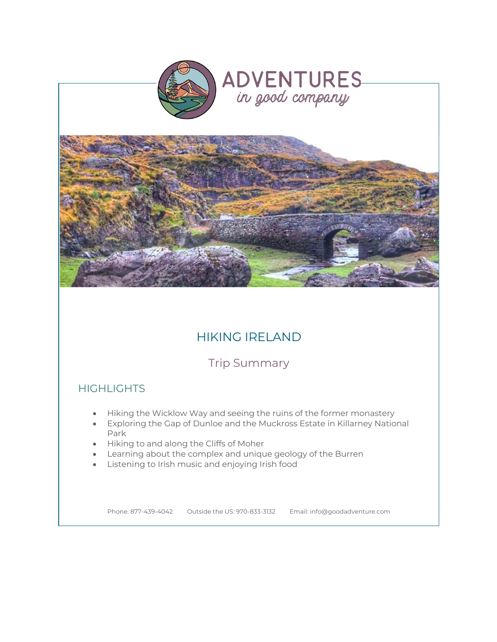



# HIKING IRELAND

Trip Summary

# **HIGHLIGHTS**

- Hiking the Wicklow Way and seeing the ruins of the former monastery
- Exploring the Gap of Dunloe and the Muckross Estate in Killarney National Park
- Hiking to and along the Cliffs of Moher
- Learning about the complex and unique geology of the Burren
- Listening to Irish music and enjoying Irish food

Phone: 877-439-4042 Outside the US: 970-833-3132 Email: info@goodadventure.com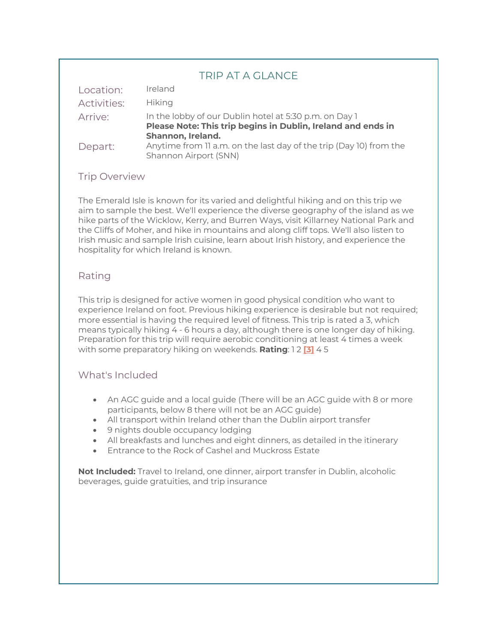### TRIP AT A GLANCE

| Location:          | Ireland                                                                                                                                     |
|--------------------|---------------------------------------------------------------------------------------------------------------------------------------------|
| <b>Activities:</b> | <b>Hiking</b>                                                                                                                               |
| Arrive:            | In the lobby of our Dublin hotel at 5:30 p.m. on Day 1<br>Please Note: This trip begins in Dublin, Ireland and ends in<br>Shannon, Ireland. |
| Depart:            | Anytime from 11 a.m. on the last day of the trip (Day 10) from the<br>Shannon Airport (SNN)                                                 |

### Trip Overview

The Emerald Isle is known for its varied and delightful hiking and on this trip we aim to sample the best. We'll experience the diverse geography of the island as we hike parts of the Wicklow, Kerry, and Burren Ways, visit Killarney National Park and the Cliffs of Moher, and hike in mountains and along cliff tops. We'll also listen to Irish music and sample Irish cuisine, learn about Irish history, and experience the hospitality for which Ireland is known.

### Rating

This trip is designed for active women in good physical condition who want to experience Ireland on foot. Previous hiking experience is desirable but not required; more essential is having the required level of fitness. This trip is rated a 3, which means typically hiking 4 - 6 hours a day, although there is one longer day of hiking. Preparation for this trip will require aerobic conditioning at least 4 times a week with some preparatory hiking on weekends. **Rating**: 1 2 **[3]** 4 5

### What's Included

- An AGC guide and a local guide (There will be an AGC guide with 8 or more participants, below 8 there will not be an AGC guide)
- All transport within Ireland other than the Dublin airport transfer
- 9 nights double occupancy lodging
- All breakfasts and lunches and eight dinners, as detailed in the itinerary
- Entrance to the Rock of Cashel and Muckross Estate

**Not Included:** Travel to Ireland, one dinner, airport transfer in Dublin, alcoholic beverages, guide gratuities, and trip insurance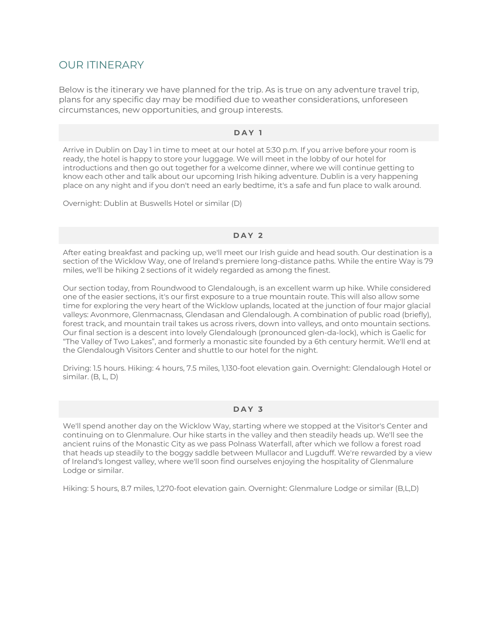### OUR ITINERARY

Below is the itinerary we have planned for the trip. As is true on any adventure travel trip, plans for any specific day may be modified due to weather considerations, unforeseen circumstances, new opportunities, and group interests.

#### **DAY 1**

Arrive in Dublin on Day 1 in time to meet at our hotel at 5:30 p.m. If you arrive before your room is ready, the hotel is happy to store your luggage. We will meet in the lobby of our hotel for introductions and then go out together for a welcome dinner, where we will continue getting to know each other and talk about our upcoming Irish hiking adventure. Dublin is a very happening place on any night and if you don't need an early bedtime, it's a safe and fun place to walk around.

Overnight: Dublin at Buswells Hotel or similar (D)

#### **DAY 2**

After eating breakfast and packing up, we'll meet our Irish guide and head south. Our destination is a section of the Wicklow Way, one of Ireland's premiere long-distance paths. While the entire Way is 79 miles, we'll be hiking 2 sections of it widely regarded as among the finest.

Our section today, from Roundwood to Glendalough, is an excellent warm up hike. While considered one of the easier sections, it's our first exposure to a true mountain route. This will also allow some time for exploring the very heart of the Wicklow uplands, located at the junction of four major glacial valleys: Avonmore, Glenmacnass, Glendasan and Glendalough. A combination of public road (briefly), forest track, and mountain trail takes us across rivers, down into valleys, and onto mountain sections. Our final section is a descent into lovely Glendalough (pronounced glen-da-lock), which is Gaelic for "The Valley of Two Lakes", and formerly a monastic site founded by a 6th century hermit. We'll end at the Glendalough Visitors Center and shuttle to our hotel for the night.

Driving: 1.5 hours. Hiking: 4 hours, 7.5 miles, 1,130-foot elevation gain. Overnight: Glendalough Hotel or similar. (B, L, D)

#### **DAY 3**

We'll spend another day on the Wicklow Way, starting where we stopped at the Visitor's Center and continuing on to Glenmalure. Our hike starts in the valley and then steadily heads up. We'll see the ancient ruins of the Monastic City as we pass Polnass Waterfall, after which we follow a forest road that heads up steadily to the boggy saddle between Mullacor and Lugduff. We're rewarded by a view of Ireland's longest valley, where we'll soon find ourselves enjoying the hospitality of Glenmalure Lodge or similar.

Hiking: 5 hours, 8.7 miles, 1,270-foot elevation gain. Overnight: Glenmalure Lodge or similar (B,L,D)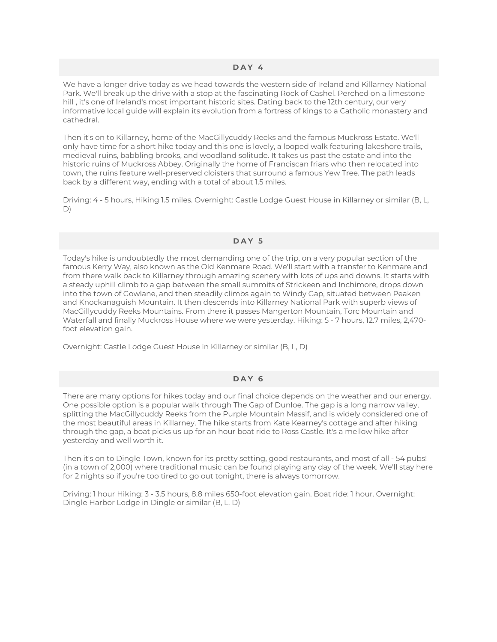#### **DAY 4**

We have a longer drive today as we head towards the western side of Ireland and Killarney National Park. We'll break up the drive with a stop at the fascinating Rock of Cashel. Perched on a limestone hill , it's one of Ireland's most important historic sites. Dating back to the 12th century, our very informative local guide will explain its evolution from a fortress of kings to a Catholic monastery and cathedral.

Then it's on to Killarney, home of the MacGillycuddy Reeks and the famous Muckross Estate. We'll only have time for a short hike today and this one is lovely, a looped walk featuring lakeshore trails, medieval ruins, babbling brooks, and woodland solitude. It takes us past the estate and into the historic ruins of Muckross Abbey. Originally the home of Franciscan friars who then relocated into town, the ruins feature well-preserved cloisters that surround a famous Yew Tree. The path leads back by a different way, ending with a total of about 1.5 miles.

Driving: 4 - 5 hours, Hiking 1.5 miles. Overnight: Castle Lodge Guest House in Killarney or similar (B, L, D)

#### **DAY 5**

Today's hike is undoubtedly the most demanding one of the trip, on a very popular section of the famous Kerry Way, also known as the Old Kenmare Road. We'll start with a transfer to Kenmare and from there walk back to Killarney through amazing scenery with lots of ups and downs. It starts with a steady uphill climb to a gap between the small summits of Strickeen and Inchimore, drops down into the town of Gowlane, and then steadily climbs again to Windy Gap, situated between Peaken and Knockanaguish Mountain. It then descends into Killarney National Park with superb views of MacGillycuddy Reeks Mountains. From there it passes Mangerton Mountain, Torc Mountain and Waterfall and finally Muckross House where we were yesterday. Hiking: 5 - 7 hours, 12.7 miles, 2,470 foot elevation gain.

Overnight: Castle Lodge Guest House in Killarney or similar (B, L, D)

#### **DAY 6**

There are many options for hikes today and our final choice depends on the weather and our energy. One possible option is a popular walk through The Gap of Dunloe. The gap is a long narrow valley, splitting the MacGillycuddy Reeks from the Purple Mountain Massif, and is widely considered one of the most beautiful areas in Killarney. The hike starts from Kate Kearney's cottage and after hiking through the gap, a boat picks us up for an hour boat ride to Ross Castle. It's a mellow hike after yesterday and well worth it.

Then it's on to Dingle Town, known for its pretty setting, good restaurants, and most of all - 54 pubs! (in a town of 2,000) where traditional music can be found playing any day of the week. We'll stay here for 2 nights so if you're too tired to go out tonight, there is always tomorrow.

Driving: 1 hour Hiking: 3 - 3.5 hours, 8.8 miles 650-foot elevation gain. Boat ride: 1 hour. Overnight: Dingle Harbor Lodge in Dingle or similar (B, L, D)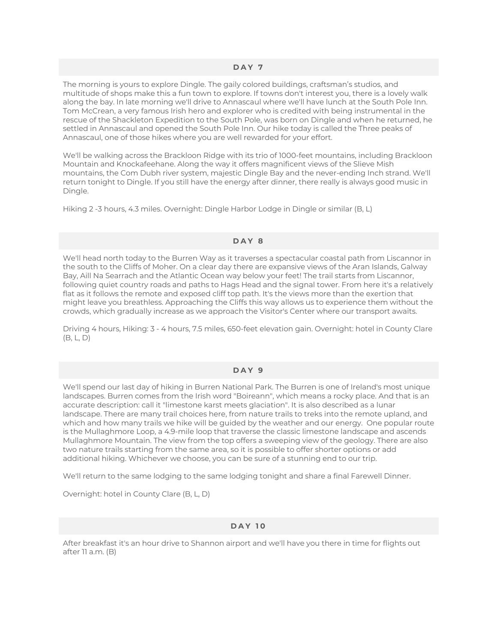The morning is yours to explore Dingle. The gaily colored buildings, craftsman's studios, and multitude of shops make this a fun town to explore. If towns don't interest you, there is a lovely walk along the bay. In late morning we'll drive to Annascaul where we'll have lunch at the South Pole Inn. Tom McCrean, a very famous Irish hero and explorer who is credited with being instrumental in the rescue of the Shackleton Expedition to the South Pole, was born on Dingle and when he returned, he settled in Annascaul and opened the South Pole Inn. Our hike today is called the Three peaks of Annascaul, one of those hikes where you are well rewarded for your effort.

We'll be walking across the Brackloon Ridge with its trio of 1000-feet mountains, including Brackloon Mountain and Knockafeehane. Along the way it offers magnificent views of the Slieve Mish mountains, the Com Dubh river system, majestic Dingle Bay and the never-ending Inch strand. We'll return tonight to Dingle. If you still have the energy after dinner, there really is always good music in Dingle.

Hiking 2 -3 hours, 4.3 miles. Overnight: Dingle Harbor Lodge in Dingle or similar (B, L)

#### **DAY 8**

We'll head north today to the Burren Way as it traverses a spectacular coastal path from Liscannor in the south to the Cliffs of Moher. On a clear day there are expansive views of the Aran Islands, Galway Bay, Aill Na Searrach and the Atlantic Ocean way below your feet! The trail starts from Liscannor, following quiet country roads and paths to Hags Head and the signal tower. From here it's a relatively flat as it follows the remote and exposed cliff top path. It's the views more than the exertion that might leave you breathless. Approaching the Cliffs this way allows us to experience them without the crowds, which gradually increase as we approach the Visitor's Center where our transport awaits.

Driving 4 hours, Hiking: 3 - 4 hours, 7.5 miles, 650-feet elevation gain. Overnight: hotel in County Clare (B, L, D)

#### **DAY 9**

We'll spend our last day of hiking in Burren National Park. The Burren is one of Ireland's most unique landscapes. Burren comes from the Irish word "Boireann", which means a rocky place. And that is an accurate description: call it "limestone karst meets glaciation". It is also described as a lunar landscape. There are many trail choices here, from nature trails to treks into the remote upland, and which and how many trails we hike will be guided by the weather and our energy. One popular route is the Mullaghmore Loop, a 4.9-mile loop that traverse the classic limestone landscape and ascends Mullaghmore Mountain. The view from the top offers a sweeping view of the geology. There are also two nature trails starting from the same area, so it is possible to offer shorter options or add additional hiking. Whichever we choose, you can be sure of a stunning end to our trip.

We'll return to the same lodging to the same lodging tonight and share a final Farewell Dinner.

Overnight: hotel in County Clare (B, L, D)

#### **DAY 10**

After breakfast it's an hour drive to Shannon airport and we'll have you there in time for flights out after 11 a.m. (B)